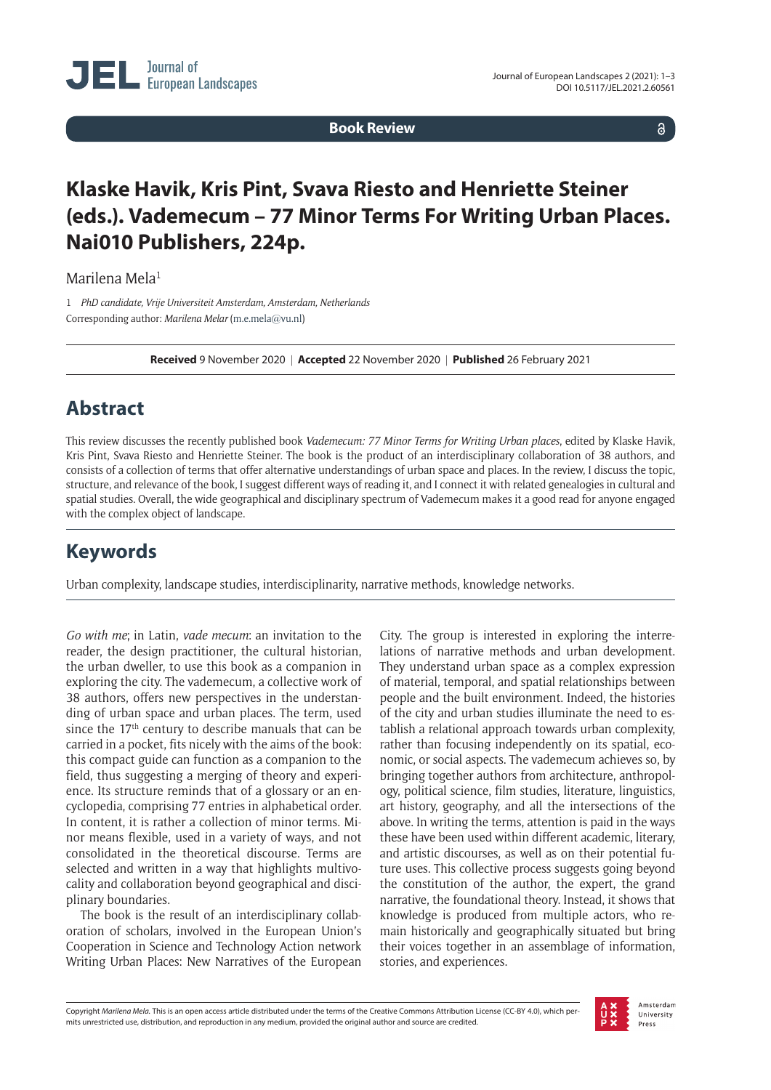**Book Review**

 $\delta$ 

## **Klaske Havik, Kris Pint, Svava Riesto and Henriette Steiner (eds.). Vademecum – 77 Minor Terms For Writing Urban Places. Nai010 Publishers, 224p.**

Marilena Mela<sup>1</sup>

1 *PhD candidate, Vrije Universiteit Amsterdam, Amsterdam, Netherlands* Corresponding author: *Marilena Melar* [\(m.e.mela@vu.nl](mailto:m.e.mela@vu.nl))

**Received** 9 November 2020 | **Accepted** 22 November 2020 | **Published** 26 February 2021

## **Abstract**

This review discusses the recently published book *Vademecum: 77 Minor Terms for Writing Urban places*, edited by Klaske Havik, Kris Pint, Svava Riesto and Henriette Steiner. The book is the product of an interdisciplinary collaboration of 38 authors, and consists of a collection of terms that offer alternative understandings of urban space and places. In the review, I discuss the topic, structure, and relevance of the book, I suggest different ways of reading it, and I connect it with related genealogies in cultural and spatial studies. Overall, the wide geographical and disciplinary spectrum of Vademecum makes it a good read for anyone engaged with the complex object of landscape.

## **Keywords**

Urban complexity, landscape studies, interdisciplinarity, narrative methods, knowledge networks.

*Go with me*; in Latin, *vade mecum*: an invitation to the reader, the design practitioner, the cultural historian, the urban dweller, to use this book as a companion in exploring the city. The vademecum, a collective work of 38 authors, offers new perspectives in the understanding of urban space and urban places. The term, used since the 17<sup>th</sup> century to describe manuals that can be carried in a pocket, fits nicely with the aims of the book: this compact guide can function as a companion to the field, thus suggesting a merging of theory and experience. Its structure reminds that of a glossary or an encyclopedia, comprising 77 entries in alphabetical order. In content, it is rather a collection of minor terms. Minor means flexible, used in a variety of ways, and not consolidated in the theoretical discourse. Terms are selected and written in a way that highlights multivocality and collaboration beyond geographical and disciplinary boundaries.

The book is the result of an interdisciplinary collaboration of scholars, involved in the European Union's Cooperation in Science and Technology Action network Writing Urban Places: New Narratives of the European

City. The group is interested in exploring the interrelations of narrative methods and urban development. They understand urban space as a complex expression of material, temporal, and spatial relationships between people and the built environment. Indeed, the histories of the city and urban studies illuminate the need to establish a relational approach towards urban complexity, rather than focusing independently on its spatial, economic, or social aspects. The vademecum achieves so, by bringing together authors from architecture, anthropology, political science, film studies, literature, linguistics, art history, geography, and all the intersections of the above. In writing the terms, attention is paid in the ways these have been used within different academic, literary, and artistic discourses, as well as on their potential future uses. This collective process suggests going beyond the constitution of the author, the expert, the grand narrative, the foundational theory. Instead, it shows that knowledge is produced from multiple actors, who remain historically and geographically situated but bring their voices together in an assemblage of information, stories, and experiences.

Copyright *Marilena Mela.* This is an open access article distributed under the terms of the Creative Commons Attribution License (CC-BY 4.0), which permits unrestricted use, distribution, and reproduction in any medium, provided the original author and source are credited.

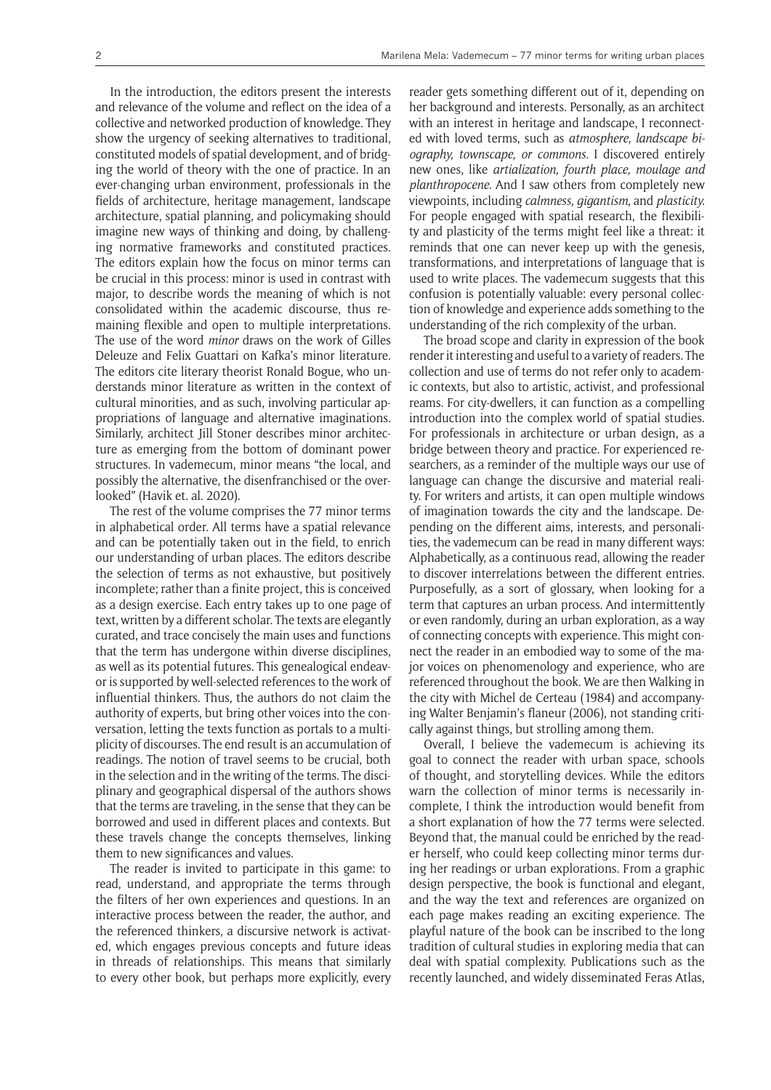In the introduction, the editors present the interests and relevance of the volume and reflect on the idea of a collective and networked production of knowledge. They show the urgency of seeking alternatives to traditional, constituted models of spatial development, and of bridging the world of theory with the one of practice. In an ever-changing urban environment, professionals in the fields of architecture, heritage management, landscape architecture, spatial planning, and policymaking should imagine new ways of thinking and doing, by challenging normative frameworks and constituted practices. The editors explain how the focus on minor terms can be crucial in this process: minor is used in contrast with major, to describe words the meaning of which is not consolidated within the academic discourse, thus remaining flexible and open to multiple interpretations. The use of the word *minor* draws on the work of Gilles Deleuze and Felix Guattari on Kafka's minor literature. The editors cite literary theorist Ronald Bogue, who understands minor literature as written in the context of cultural minorities, and as such, involving particular appropriations of language and alternative imaginations. Similarly, architect Jill Stoner describes minor architecture as emerging from the bottom of dominant power structures. In vademecum, minor means "the local, and possibly the alternative, the disenfranchised or the overlooked" (Havik et. al. 2020).

The rest of the volume comprises the 77 minor terms in alphabetical order. All terms have a spatial relevance and can be potentially taken out in the field, to enrich our understanding of urban places. The editors describe the selection of terms as not exhaustive, but positively incomplete; rather than a finite project, this is conceived as a design exercise. Each entry takes up to one page of text, written by a different scholar. The texts are elegantly curated, and trace concisely the main uses and functions that the term has undergone within diverse disciplines, as well as its potential futures. This genealogical endeavor is supported by well-selected references to the work of influential thinkers. Thus, the authors do not claim the authority of experts, but bring other voices into the conversation, letting the texts function as portals to a multiplicity of discourses. The end result is an accumulation of readings. The notion of travel seems to be crucial, both in the selection and in the writing of the terms. The disciplinary and geographical dispersal of the authors shows that the terms are traveling, in the sense that they can be borrowed and used in different places and contexts. But these travels change the concepts themselves, linking them to new significances and values.

The reader is invited to participate in this game: to read, understand, and appropriate the terms through the filters of her own experiences and questions. In an interactive process between the reader, the author, and the referenced thinkers, a discursive network is activated, which engages previous concepts and future ideas in threads of relationships. This means that similarly to every other book, but perhaps more explicitly, every reader gets something different out of it, depending on her background and interests. Personally, as an architect with an interest in heritage and landscape, I reconnected with loved terms, such as *atmosphere, landscape biography, townscape, or commons.* I discovered entirely new ones, like *artialization, fourth place, moulage and planthropocene.* And I saw others from completely new viewpoints, including *calmness, gigantism,* and *plasticity.*  For people engaged with spatial research, the flexibility and plasticity of the terms might feel like a threat: it reminds that one can never keep up with the genesis, transformations, and interpretations of language that is used to write places. The vademecum suggests that this confusion is potentially valuable: every personal collection of knowledge and experience adds something to the understanding of the rich complexity of the urban.

The broad scope and clarity in expression of the book render it interesting and useful to a variety of readers. The collection and use of terms do not refer only to academic contexts, but also to artistic, activist, and professional reams. For city-dwellers, it can function as a compelling introduction into the complex world of spatial studies. For professionals in architecture or urban design, as a bridge between theory and practice. For experienced researchers, as a reminder of the multiple ways our use of language can change the discursive and material reality. For writers and artists, it can open multiple windows of imagination towards the city and the landscape. Depending on the different aims, interests, and personalities, the vademecum can be read in many different ways: Alphabetically, as a continuous read, allowing the reader to discover interrelations between the different entries. Purposefully, as a sort of glossary, when looking for a term that captures an urban process. And intermittently or even randomly, during an urban exploration, as a way of connecting concepts with experience. This might connect the reader in an embodied way to some of the major voices on phenomenology and experience, who are referenced throughout the book. We are then Walking in the city with Michel de Certeau (1984) and accompanying Walter Benjamin's flaneur (2006), not standing critically against things, but strolling among them.

Overall, I believe the vademecum is achieving its goal to connect the reader with urban space, schools of thought, and storytelling devices. While the editors warn the collection of minor terms is necessarily incomplete, I think the introduction would benefit from a short explanation of how the 77 terms were selected. Beyond that, the manual could be enriched by the reader herself, who could keep collecting minor terms during her readings or urban explorations. From a graphic design perspective, the book is functional and elegant, and the way the text and references are organized on each page makes reading an exciting experience. The playful nature of the book can be inscribed to the long tradition of cultural studies in exploring media that can deal with spatial complexity. Publications such as the recently launched, and widely disseminated Feras Atlas,